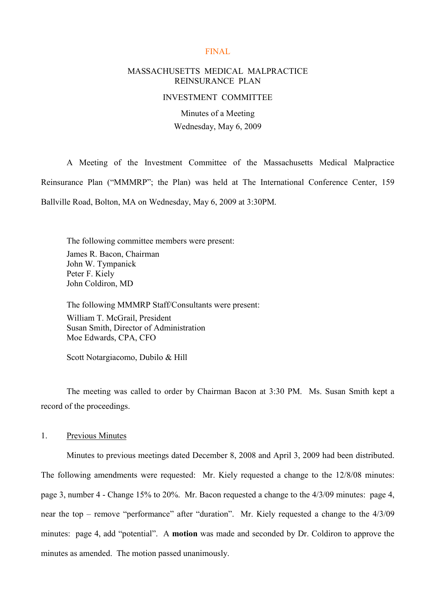#### FINAL

## MASSACHUSETTS MEDICAL MALPRACTICE REINSURANCE PLAN

#### INVESTMENT COMMITTEE

Minutes of a Meeting Wednesday, May 6, 2009

A Meeting of the Investment Committee of the Massachusetts Medical Malpractice Reinsurance Plan ("MMMRP"; the Plan) was held at The International Conference Center, 159 Ballville Road, Bolton, MA on Wednesday, May 6, 2009 at 3:30PM.

The following committee members were present: James R. Bacon, Chairman John W. Tympanick Peter F. Kiely John Coldiron, MD

The following MMMRP Staff/Consultants were present: William T. McGrail, President Susan Smith, Director of Administration Moe Edwards, CPA, CFO

Scott Notargiacomo, Dubilo & Hill

The meeting was called to order by Chairman Bacon at 3:30 PM. Ms. Susan Smith kept a record of the proceedings.

#### 1. Previous Minutes

Minutes to previous meetings dated December 8, 2008 and April 3, 2009 had been distributed. The following amendments were requested: Mr. Kiely requested a change to the 12/8/08 minutes: page 3, number 4 - Change 15% to 20%. Mr. Bacon requested a change to the 4/3/09 minutes: page 4, near the top – remove "performance" after "duration". Mr. Kiely requested a change to the  $4/3/09$ minutes: page 4, add "potential". A **motion** was made and seconded by Dr. Coldiron to approve the minutes as amended. The motion passed unanimously.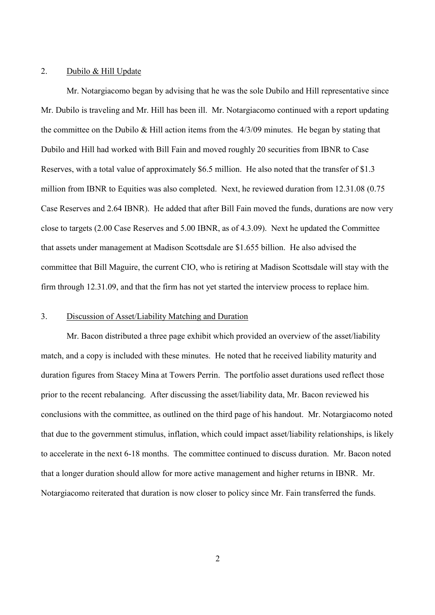#### 2. Dubilo & Hill Update

Mr. Notargiacomo began by advising that he was the sole Dubilo and Hill representative since Mr. Dubilo is traveling and Mr. Hill has been ill. Mr. Notargiacomo continued with a report updating the committee on the Dubilo & Hill action items from the 4/3/09 minutes. He began by stating that Dubilo and Hill had worked with Bill Fain and moved roughly 20 securities from IBNR to Case Reserves, with a total value of approximately \$6.5 million. He also noted that the transfer of \$1.3 million from IBNR to Equities was also completed. Next, he reviewed duration from 12.31.08 (0.75 Case Reserves and 2.64 IBNR). He added that after Bill Fain moved the funds, durations are now very close to targets (2.00 Case Reserves and 5.00 IBNR, as of 4.3.09). Next he updated the Committee that assets under management at Madison Scottsdale are \$1.655 billion. He also advised the committee that Bill Maguire, the current CIO, who is retiring at Madison Scottsdale will stay with the firm through 12.31.09, and that the firm has not yet started the interview process to replace him.

### 3. Discussion of Asset/Liability Matching and Duration

Mr. Bacon distributed a three page exhibit which provided an overview of the asset/liability match, and a copy is included with these minutes. He noted that he received liability maturity and duration figures from Stacey Mina at Towers Perrin. The portfolio asset durations used reflect those prior to the recent rebalancing. After discussing the asset/liability data, Mr. Bacon reviewed his conclusions with the committee, as outlined on the third page of his handout. Mr. Notargiacomo noted that due to the government stimulus, inflation, which could impact asset/liability relationships, is likely to accelerate in the next 6-18 months. The committee continued to discuss duration. Mr. Bacon noted that a longer duration should allow for more active management and higher returns in IBNR. Mr. Notargiacomo reiterated that duration is now closer to policy since Mr. Fain transferred the funds.

2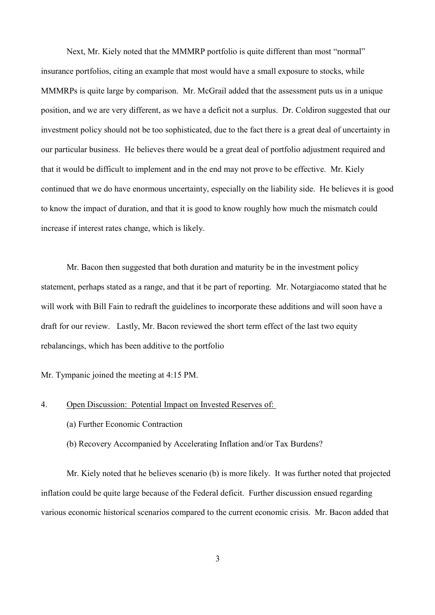Next, Mr. Kiely noted that the MMMRP portfolio is quite different than most "normal" insurance portfolios, citing an example that most would have a small exposure to stocks, while MMMRPs is quite large by comparison. Mr. McGrail added that the assessment puts us in a unique position, and we are very different, as we have a deficit not a surplus. Dr. Coldiron suggested that our investment policy should not be too sophisticated, due to the fact there is a great deal of uncertainty in our particular business. He believes there would be a great deal of portfolio adjustment required and that it would be difficult to implement and in the end may not prove to be effective. Mr. Kiely continued that we do have enormous uncertainty, especially on the liability side. He believes it is good to know the impact of duration, and that it is good to know roughly how much the mismatch could increase if interest rates change, which is likely.

Mr. Bacon then suggested that both duration and maturity be in the investment policy statement, perhaps stated as a range, and that it be part of reporting. Mr. Notargiacomo stated that he will work with Bill Fain to redraft the guidelines to incorporate these additions and will soon have a draft for our review. Lastly, Mr. Bacon reviewed the short term effect of the last two equity rebalancings, which has been additive to the portfolio

Mr. Tympanic joined the meeting at 4:15 PM.

#### 4. Open Discussion: Potential Impact on Invested Reserves of:

- (a) Further Economic Contraction
- (b) Recovery Accompanied by Accelerating Inflation and/or Tax Burdens?

Mr. Kiely noted that he believes scenario (b) is more likely. It was further noted that projected inflation could be quite large because of the Federal deficit. Further discussion ensued regarding various economic historical scenarios compared to the current economic crisis. Mr. Bacon added that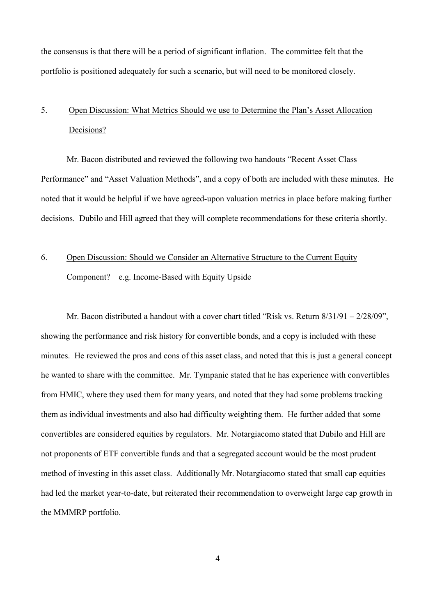the consensus is that there will be a period of significant inflation. The committee felt that the portfolio is positioned adequately for such a scenario, but will need to be monitored closely.

# 5. Open Discussion: What Metrics Should we use to Determine the Plan's Asset Allocation Decisions?

Mr. Bacon distributed and reviewed the following two handouts "Recent Asset Class" Performance" and "Asset Valuation Methods", and a copy of both are included with these minutes. He noted that it would be helpful if we have agreed-upon valuation metrics in place before making further decisions. Dubilo and Hill agreed that they will complete recommendations for these criteria shortly.

# 6. Open Discussion: Should we Consider an Alternative Structure to the Current Equity Component? e.g. Income-Based with Equity Upside

Mr. Bacon distributed a handout with a cover chart titled "Risk vs. Return  $8/31/91 - 2/28/09$ ", showing the performance and risk history for convertible bonds, and a copy is included with these minutes. He reviewed the pros and cons of this asset class, and noted that this is just a general concept he wanted to share with the committee. Mr. Tympanic stated that he has experience with convertibles from HMIC, where they used them for many years, and noted that they had some problems tracking them as individual investments and also had difficulty weighting them. He further added that some convertibles are considered equities by regulators. Mr. Notargiacomo stated that Dubilo and Hill are not proponents of ETF convertible funds and that a segregated account would be the most prudent method of investing in this asset class. Additionally Mr. Notargiacomo stated that small cap equities had led the market year-to-date, but reiterated their recommendation to overweight large cap growth in the MMMRP portfolio.

4